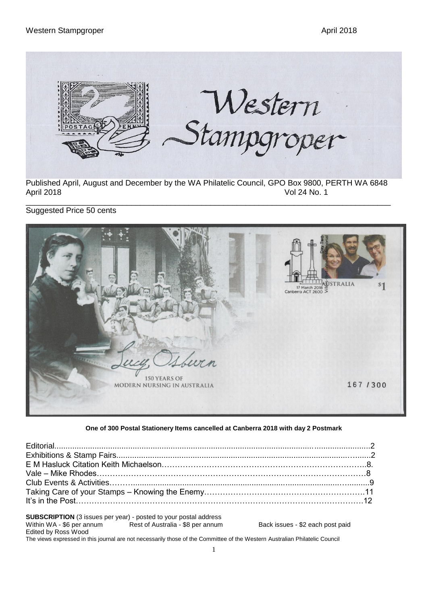

Published April, August and December by the WA Philatelic Council, GPO Box 9800, PERTH WA 6848 April 2018 Vol 24 No. 1

\_\_\_\_\_\_\_\_\_\_\_\_\_\_\_\_\_\_\_\_\_\_\_\_\_\_\_\_\_\_\_\_\_\_\_\_\_\_\_\_\_\_\_\_\_\_\_\_\_\_\_\_\_\_\_\_\_\_\_\_\_\_\_\_\_\_\_\_\_\_\_\_\_\_\_\_\_\_\_\_\_\_\_ Suggested Price 50 cents



#### **One of 300 Postal Stationery Items cancelled at Canberra 2018 with day 2 Postmark**

**SUBSCRIPTION** (3 issues per year) - posted to your postal address<br>Within WA - \$6 per annum<br>Rest of Australia - \$8 per annum Rest of Australia - \$8 per annum Back issues - \$2 each post paid Edited by Ross Wood The views expressed in this journal are not necessarily those of the Committee of the Western Australian Philatelic Council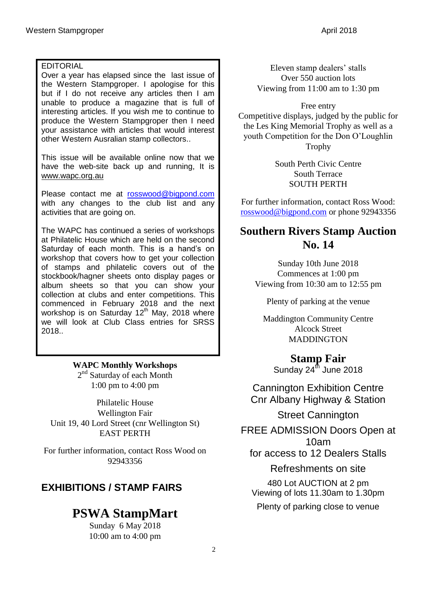#### EDITORIAL

Over a year has elapsed since the last issue of the Western Stampgroper. I apologise for this but if I do not receive any articles then I am unable to produce a magazine that is full of interesting articles. If you wish me to continue to produce the Western Stampgroper then I need your assistance with articles that would interest other Western Ausralian stamp collectors..

This issue will be available online now that we have the web-site back up and running, It is www.wapc.org.au

Please contact me at [rosswood@bigpond.com](mailto:rosswood@bigpond.com) with any changes to the club list and any activities that are going on.

The WAPC has continued a series of workshops at Philatelic House which are held on the second Saturday of each month. This is a hand's on workshop that covers how to get your collection of stamps and philatelic covers out of the stockbook/hagner sheets onto display pages or album sheets so that you can show your collection at clubs and enter competitions. This commenced in February 2018 and the next workshop is on Saturday 12<sup>th</sup> May, 2018 where we will look at Club Class entries for SRSS 2018..

> **WAPC Monthly Workshops** 2<sup>nd</sup> Saturday of each Month

1:00 pm to 4:00 pm

Philatelic House Wellington Fair Unit 19, 40 Lord Street (cnr Wellington St) EAST PERTH

For further information, contact Ross Wood on 92943356

## **EXHIBITIONS / STAMP FAIRS**

# **PSWA StampMart**

Sunday 6 May 2018 10:00 am to 4:00 pm

Eleven stamp dealers' stalls Over 550 auction lots Viewing from 11:00 am to 1:30 pm

Free entry Competitive displays, judged by the public for the Les King Memorial Trophy as well as a youth Competition for the Don O'Loughlin Trophy

> South Perth Civic Centre South Terrace SOUTH PERTH

For further information, contact Ross Wood: [rosswood@bigpond.com](mailto:rosswood@bigpond.com) or phone 92943356

## **Southern Rivers Stamp Auction No. 14**

Sunday 10th June 2018 Commences at 1:00 pm Viewing from 10:30 am to 12:55 pm

Plenty of parking at the venue

Maddington Community Centre Alcock Street MADDINGTON

**Stamp Fair** Sunday  $24^{th}$  June 2018

Cannington Exhibition Centre Cnr Albany Highway & Station

Street Cannington

FREE ADMISSION Doors Open at

10am

for access to 12 Dealers Stalls

Refreshments on site 480 Lot AUCTION at 2 pm Viewing of lots 11.30am to 1.30pm

Plenty of parking close to venue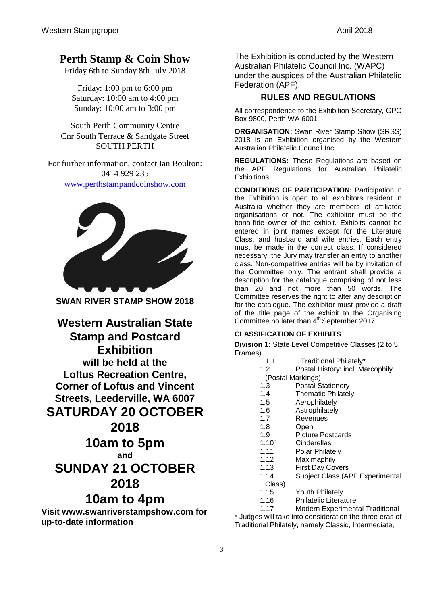# **Perth Stamp & Coin Show**

Friday 6th to Sunday 8th July 2018

Friday: 1:00 pm to 6:00 pm Saturday: 10:00 am to 4:00 pm Sunday: 10:00 am to 3:00 pm

South Perth Community Centre Cnr South Terrace & Sandgate Street SOUTH PERTH

For further information, contact Ian Boulton: 0414 929 235 [www.perthstampandcoinshow.com](mailto:www.perthstampandcoinshow.com)



**SWAN RIVER STAMP SHOW 2018**

**Western Australian State Stamp and Postcard Exhibition will be held at the Loftus Recreation Centre, Corner of Loftus and Vincent Streets, Leederville, WA 6007 SATURDAY 20 OCTOBER 2018 10am to 5pm and SUNDAY 21 OCTOBER 2018**

## **10am to 4pm**

**Visit www.swanriverstampshow.com for up-to-date information**

The Exhibition is conducted by the Western Australian Philatelic Council Inc. (WAPC) under the auspices of the Australian Philatelic Federation (APF).

### **RULES AND REGULATIONS**

All correspondence to the Exhibition Secretary, GPO Box 9800, Perth WA 6001

**ORGANISATION:** Swan River Stamp Show (SRSS) 2018 is an Exhibition organised by the Western Australian Philatelic Council Inc.

**REGULATIONS:** These Regulations are based on the APF Regulations for Australian Philatelic Exhibitions.

**CONDITIONS OF PARTICIPATION:** Participation in the Exhibition is open to all exhibitors resident in Australia whether they are members of affiliated organisations or not. The exhibitor must be the bona-fide owner of the exhibit. Exhibits cannot be entered in joint names except for the Literature Class, and husband and wife entries. Each entry must be made in the correct class. If considered necessary, the Jury may transfer an entry to another class. Non-competitive entries will be by invitation of the Committee only. The entrant shall provide a description for the catalogue comprising of not less than 20 and not more than 50 words. The Committee reserves the right to alter any description for the catalogue. The exhibitor must provide a draft of the title page of the exhibit to the Organising Committee no later than 4<sup>th</sup> September 2017.

#### **CLASSIFICATION OF EXHIBITS**

**Division 1:** State Level Competitive Classes (2 to 5 Frames)

- 1.1 Traditional Philately\*
- 1.2 Postal History: incl. Marcophily
- (Postal Markings)
- 1.3 Postal Stationery
- 1.4 Thematic Philately
- 1.5 Aerophilately
- 1.6 Astrophilately
- 1.7 Revenues
- 1.8 Open
- 1.9 Picture Postcards
- 1.10` Cinderellas
- 1.11 Polar Philately
- 1.12 Maximaphily
- 1.13 First Day Covers
- 1.14 Subject Class (APF Experimental
- Class)
- 1.15 Youth Philately
- 1.16 Philatelic Literature

1.17 Modern Experimental Traditional \* Judges will take into consideration the three eras of Traditional Philately, namely Classic, Intermediate,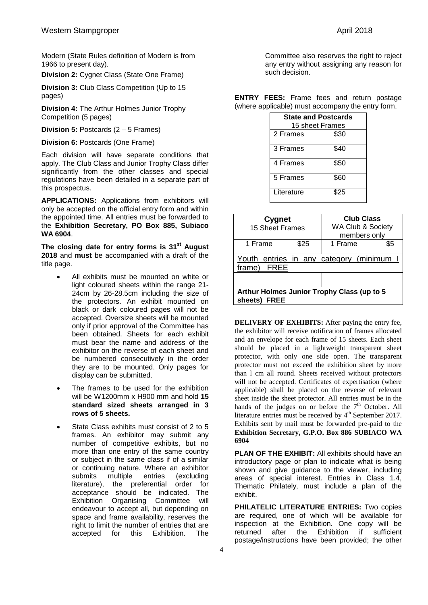Modern (State Rules definition of Modern is from 1966 to present day).

**Division 2:** Cygnet Class (State One Frame)

**Division 3:** Club Class Competition (Up to 15 pages)

**Division 4:** The Arthur Holmes Junior Trophy Competition (5 pages)

**Division 5:** Postcards (2 – 5 Frames)

**Division 6:** Postcards (One Frame)

Each division will have separate conditions that apply. The Club Class and Junior Trophy Class differ significantly from the other classes and special regulations have been detailed in a separate part of this prospectus.

**APPLICATIONS:** Applications from exhibitors will only be accepted on the official entry form and within the appointed time. All entries must be forwarded to the **Exhibition Secretary, PO Box 885, Subiaco WA 6904**.

**The closing date for entry forms is 31st August 2018** and **must** be accompanied with a draft of the title page.

- All exhibits must be mounted on white or light coloured sheets within the range 21- 24cm by 26-28.5cm including the size of the protectors. An exhibit mounted on black or dark coloured pages will not be accepted. Oversize sheets will be mounted only if prior approval of the Committee has been obtained. Sheets for each exhibit must bear the name and address of the exhibitor on the reverse of each sheet and be numbered consecutively in the order they are to be mounted. Only pages for display can be submitted.
- The frames to be used for the exhibition will be W1200mm x H900 mm and hold **15 standard sized sheets arranged in 3 rows of 5 sheets.**
- State Class exhibits must consist of 2 to 5 frames. An exhibitor may submit any number of competitive exhibits, but no more than one entry of the same country or subject in the same class if of a similar or continuing nature. Where an exhibitor submits multiple entries (excluding literature), the preferential order for acceptance should be indicated. The Exhibition Organising Committee will endeavour to accept all, but depending on space and frame availability, reserves the right to limit the number of entries that are accepted for this Exhibition. The

Committee also reserves the right to reject any entry without assigning any reason for such decision.

**ENTRY FEES:** Frame fees and return postage (where applicable) must accompany the entry form.

| <b>State and Postcards</b><br>15 sheet Frames |      |  |
|-----------------------------------------------|------|--|
| 2 Frames                                      | \$30 |  |
| 3 Frames                                      | \$40 |  |
| 4 Frames                                      | \$50 |  |
| 5 Frames                                      | \$60 |  |
| Literature                                    | \$25 |  |

| Cygnet<br>15 Sheet Frames                                            |      | <b>Club Class</b><br>WA Club & Society<br>members only |     |
|----------------------------------------------------------------------|------|--------------------------------------------------------|-----|
| 1 Frame                                                              | \$25 | 1 Frame                                                | \$5 |
| Youth entries in any category (minimum<br>frame)<br>FREE             |      |                                                        |     |
|                                                                      |      |                                                        |     |
| Arthur Holmes Junior Trophy Class (up to 5<br>sheets)<br><b>FREE</b> |      |                                                        |     |

**DELIVERY OF EXHIBITS:** After paying the entry fee, the exhibitor will receive notification of frames allocated and an envelope for each frame of 15 sheets. Each sheet should be placed in a lightweight transparent sheet protector, with only one side open. The transparent protector must not exceed the exhibition sheet by more than l cm all round. Sheets received without protectors will not be accepted. Certificates of expertisation (where applicable) shall be placed on the reverse of relevant sheet inside the sheet protector. All entries must be in the hands of the judges on or before the  $7<sup>th</sup>$  October. All literature entries must be received by  $4<sup>th</sup>$  September 2017. Exhibits sent by mail must be forwarded pre-paid to the **Exhibition Secretary, G.P.O. Box 886 SUBIACO WA 6904**

**PLAN OF THE EXHIBIT:** All exhibits should have an introductory page or plan to indicate what is being shown and give guidance to the viewer, including areas of special interest. Entries in Class 1.4, Thematic Philately, must include a plan of the exhibit.

**PHILATELIC LITERATURE ENTRIES:** Two copies are required, one of which will be available for inspection at the Exhibition. One copy will be returned after the Exhibition if sufficient postage/instructions have been provided; the other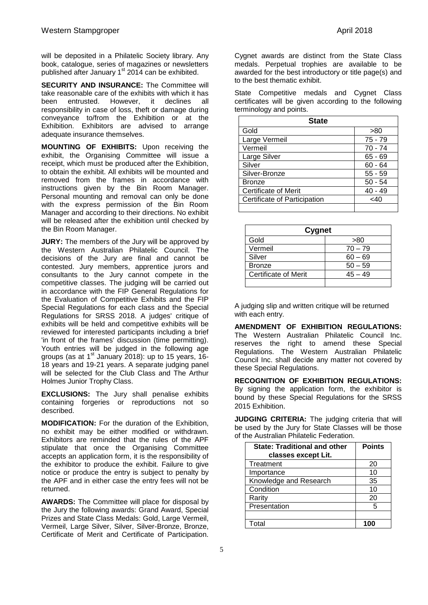will be deposited in a Philatelic Society library. Any book, catalogue, series of magazines or newsletters published after January  $1<sup>st</sup>$  2014 can be exhibited.

**SECURITY AND INSURANCE:** The Committee will take reasonable care of the exhibits with which it has been entrusted. However, it declines all responsibility in case of loss, theft or damage during conveyance to/from the Exhibition or at the Exhibition. Exhibitors are advised to arrange adequate insurance themselves.

**MOUNTING OF EXHIBITS:** Upon receiving the exhibit, the Organising Committee will issue a receipt, which must be produced after the Exhibition, to obtain the exhibit. All exhibits will be mounted and removed from the frames in accordance with instructions given by the Bin Room Manager. Personal mounting and removal can only be done with the express permission of the Bin Room Manager and according to their directions. No exhibit will be released after the exhibition until checked by the Bin Room Manager.

**JURY:** The members of the Jury will be approved by the Western Australian Philatelic Council. The decisions of the Jury are final and cannot be contested. Jury members, apprentice jurors and consultants to the Jury cannot compete in the competitive classes. The judging will be carried out in accordance with the FIP General Regulations for the Evaluation of Competitive Exhibits and the FIP Special Regulations for each class and the Special Regulations for SRSS 2018. A judges' critique of exhibits will be held and competitive exhibits will be reviewed for interested participants including a brief 'in front of the frames' discussion (time permitting). Youth entries will be judged in the following age groups (as at 1<sup>st</sup> January 2018): up to 15 years, 16-18 years and 19-21 years. A separate judging panel will be selected for the Club Class and The Arthur Holmes Junior Trophy Class.

**EXCLUSIONS:** The Jury shall penalise exhibits containing forgeries or reproductions not so described.

**MODIFICATION:** For the duration of the Exhibition, no exhibit may be either modified or withdrawn. Exhibitors are reminded that the rules of the APF stipulate that once the Organising Committee accepts an application form, it is the responsibility of the exhibitor to produce the exhibit. Failure to give notice or produce the entry is subject to penalty by the APF and in either case the entry fees will not be returned.

**AWARDS:** The Committee will place for disposal by the Jury the following awards: Grand Award, Special Prizes and State Class Medals: Gold, Large Vermeil, Vermeil, Large Silver, Silver, Silver-Bronze, Bronze, Certificate of Merit and Certificate of Participation.

Cygnet awards are distinct from the State Class medals. Perpetual trophies are available to be awarded for the best introductory or title page(s) and to the best thematic exhibit.

State Competitive medals and Cygnet Class certificates will be given according to the following terminology and points.

| <b>State</b>                 |           |  |
|------------------------------|-----------|--|
| Gold                         | >80       |  |
| Large Vermeil                | $75 - 79$ |  |
| Vermeil                      | 70 - 74   |  |
| Large Silver                 | $65 - 69$ |  |
| Silver                       | $60 - 64$ |  |
| Silver-Bronze                | $55 - 59$ |  |
| <b>Bronze</b>                | $50 - 54$ |  |
| <b>Certificate of Merit</b>  | 40 - 49   |  |
| Certificate of Participation | <40       |  |
|                              |           |  |

| <b>Cygnet</b>        |           |  |
|----------------------|-----------|--|
| Gold                 | >80       |  |
| Vermeil              | $70 - 79$ |  |
| Silver               | $60 - 69$ |  |
| <b>Bronze</b>        | $50 - 59$ |  |
| Certificate of Merit | $45 - 49$ |  |
|                      |           |  |

A judging slip and written critique will be returned with each entry.

**AMENDMENT OF EXHIBITION REGULATIONS:** The Western Australian Philatelic Council Inc. reserves the right to amend these Special Regulations. The Western Australian Philatelic Council Inc. shall decide any matter not covered by these Special Regulations.

**RECOGNITION OF EXHIBITION REGULATIONS:** By signing the application form, the exhibitor is bound by these Special Regulations for the SRSS 2015 Exhibition.

**JUDGING CRITERIA:** The judging criteria that will be used by the Jury for State Classes will be those of the Australian Philatelic Federation.

| <b>State: Traditional and other</b> | <b>Points</b> |
|-------------------------------------|---------------|
| classes except Lit.                 |               |
| Treatment                           | 20            |
| Importance                          | 10            |
| Knowledge and Research              | 35            |
| Condition                           | 10            |
| Rarity                              | 20            |
| Presentation                        | 5             |
|                                     |               |
| Total                               | 100           |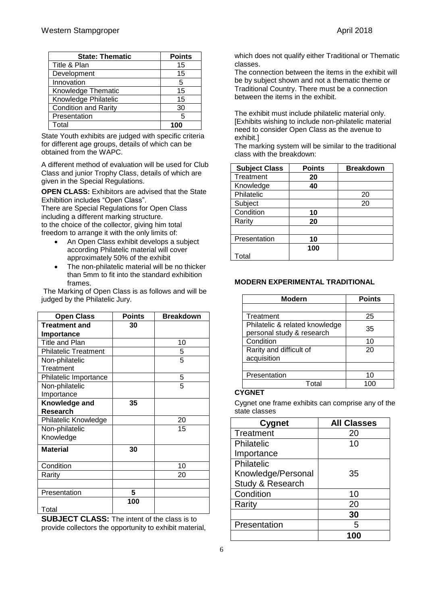| <b>State: Thematic</b>      | <b>Points</b> |
|-----------------------------|---------------|
| Title & Plan                | 15            |
| Development                 | 15            |
| Innovation                  | 5             |
| Knowledge Thematic          | 15            |
| Knowledge Philatelic        | 15            |
| <b>Condition and Rarity</b> | 30            |
| Presentation                | 5             |
| Total                       |               |

State Youth exhibits are judged with specific criteria for different age groups, details of which can be obtained from the WAPC.

A different method of evaluation will be used for Club Class and junior Trophy Class, details of which are given in the Special Regulations.

**OPEN CLASS:** Exhibitors are advised that the State Exhibition includes "Open Class".

There are Special Regulations for Open Class including a different marking structure. to the choice of the collector, giving him total freedom to arrange it with the only limits of:

- An Open Class exhibit develops a subject according Philatelic material will cover approximately 50% of the exhibit
- The non-philatelic material will be no thicker than 5mm to fit into the standard exhibition frames.

The Marking of Open Class is as follows and will be judged by the Philatelic Jury.

| <b>Open Class</b>           | <b>Points</b> | <b>Breakdown</b> |
|-----------------------------|---------------|------------------|
| <b>Treatment and</b>        | 30            |                  |
| Importance                  |               |                  |
| <b>Title and Plan</b>       |               | 10               |
| <b>Philatelic Treatment</b> |               | 5                |
| Non-philatelic              |               | 5                |
| Treatment                   |               |                  |
| Philatelic Importance       |               | 5                |
| Non-philatelic              |               | 5                |
| Importance                  |               |                  |
| Knowledge and               | 35            |                  |
| Research                    |               |                  |
| Philatelic Knowledge        |               | 20               |
| Non-philatelic              |               | 15               |
| Knowledge                   |               |                  |
| <b>Material</b>             | 30            |                  |
| Condition                   |               | 10               |
| Rarity                      |               | 20               |
|                             |               |                  |
| Presentation                | 5             |                  |
| Total                       | 100           |                  |

**SUBJECT CLASS:** The intent of the class is to provide collectors the opportunity to exhibit material, which does not qualify either Traditional or Thematic classes.

The connection between the items in the exhibit will be by subject shown and not a thematic theme or Traditional Country. There must be a connection between the items in the exhibit.

The exhibit must include philatelic material only. [Exhibits wishing to include non-philatelic material need to consider Open Class as the avenue to exhibit.]

The marking system will be similar to the traditional class with the breakdown:

| <b>Subject Class</b> | <b>Points</b> | <b>Breakdown</b> |
|----------------------|---------------|------------------|
| Treatment            | 20            |                  |
| Knowledge            | 40            |                  |
| Philatelic           |               | 20               |
| Subject              |               | 20               |
| Condition            | 10            |                  |
| Rarity               | 20            |                  |
|                      |               |                  |
| Presentation         | 10            |                  |
|                      | 100           |                  |
| Total                |               |                  |

| <b>Modern</b>                  | <b>Points</b> |
|--------------------------------|---------------|
|                                |               |
| Treatment                      | 25            |
| Philatelic & related knowledge | 35            |
| personal study & research      |               |
| Condition                      | 10            |
| Rarity and difficult of        | 20            |
| acquisition                    |               |
|                                |               |
| Presentation                   | 10            |
| T∩tal                          |               |

#### **MODERN EXPERIMENTAL TRADITIONAL**

#### **CYGNET**

Cygnet one frame exhibits can comprise any of the state classes

| <b>Cygnet</b>      | <b>All Classes</b> |
|--------------------|--------------------|
| Treatment          | 20                 |
| Philatelic         | 10                 |
| Importance         |                    |
| Philatelic         |                    |
| Knowledge/Personal | 35                 |
| Study & Research   |                    |
| Condition          | 10                 |
| Rarity             | 20                 |
|                    | 30                 |
| Presentation       | 5                  |
|                    |                    |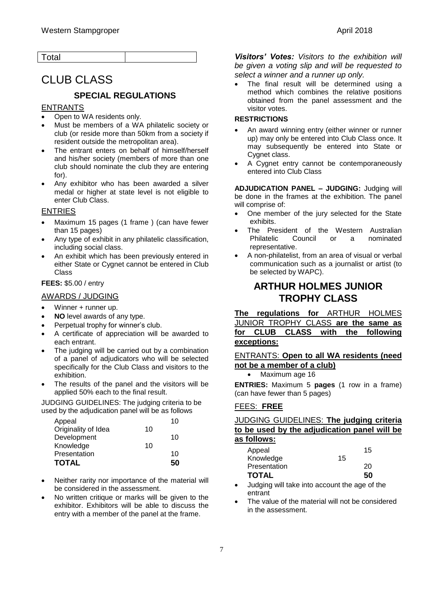# CLUB CLASS

#### **SPECIAL REGULATIONS**

#### ENTRANTS

- Open to WA residents only.
- Must be members of a WA philatelic society or club (or reside more than 50km from a society if resident outside the metropolitan area).
- The entrant enters on behalf of himself/herself and his/her society (members of more than one club should nominate the club they are entering for).
- Any exhibitor who has been awarded a silver medal or higher at state level is not eligible to enter Club Class.

#### ENTRIES

- Maximum 15 pages (1 frame ) (can have fewer than 15 pages)
- Any type of exhibit in any philatelic classification, including social class.
- An exhibit which has been previously entered in either State or Cygnet cannot be entered in Club Class

#### **FEES:** \$5.00 / entry

#### AWARDS / JUDGING

- Winner + runner up.
- **NO** level awards of any type.
- Perpetual trophy for winner's club.
- A certificate of appreciation will be awarded to each entrant.
- The judging will be carried out by a combination of a panel of adjudicators who will be selected specifically for the Club Class and visitors to the exhibition.
- The results of the panel and the visitors will be applied 50% each to the final result.

JUDGING GUIDELINES: The judging criteria to be used by the adjudication panel will be as follows

| Appeal              |    | 10 |
|---------------------|----|----|
| Originality of Idea | 10 |    |
| Development         |    | 10 |
| Knowledge           | 10 |    |
| Presentation        |    | 10 |
| <b>TOTAL</b>        |    | 50 |

- Neither rarity nor importance of the material will be considered in the assessment.
- No written critique or marks will be given to the exhibitor. Exhibitors will be able to discuss the entry with a member of the panel at the frame.

*Visitors' Votes: Visitors to the exhibition will be given a voting slip and will be requested to select a winner and a runner up only.*

 The final result will be determined using a method which combines the relative positions obtained from the panel assessment and the visitor votes.

#### **RESTRICTIONS**

- An award winning entry (either winner or runner up) may only be entered into Club Class once. It may subsequently be entered into State or Cygnet class.
- A Cygnet entry cannot be contemporaneously entered into Club Class

**ADJUDICATION PANEL – JUDGING:** Judging will be done in the frames at the exhibition. The panel will comprise of:

- One member of the jury selected for the State exhibits.
- The President of the Western Australian Philatelic Council or a nominated representative.
- A non-philatelist, from an area of visual or verbal communication such as a journalist or artist (to be selected by WAPC).

### **ARTHUR HOLMES JUNIOR TROPHY CLASS**

#### **The regulations for** ARTHUR HOLMES JUNIOR TROPHY CLASS **are the same as for CLUB CLASS with the following exceptions:**

#### ENTRANTS: **Open to all WA residents (need not be a member of a club)**

• Maximum age 16

**ENTRIES:** Maximum 5 **pages** (1 row in a frame) (can have fewer than 5 pages)

#### FEES: **FREE**

#### JUDGING GUIDELINES: **The judging criteria to be used by the adjudication panel will be as follows:**

| Appeal       |    | 15 |
|--------------|----|----|
| Knowledge    | 15 |    |
| Presentation |    | 20 |
| <b>TOTAL</b> |    | 50 |

- Judging will take into account the age of the entrant
- The value of the material will not be considered in the assessment.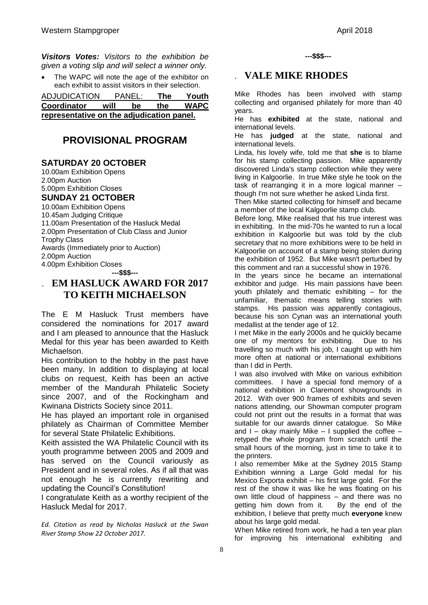*Visitors Votes: Visitors to the exhibition be given a voting slip and will select a winner only.*

 The WAPC will note the age of the exhibitor on each exhibit to assist visitors in their selection.

| <b>ADJUDICATION</b>                       |      | <b>PANEL:</b> | The | Youth       |  |
|-------------------------------------------|------|---------------|-----|-------------|--|
| <b>Coordinator</b>                        | will | be            | the | <b>WAPC</b> |  |
| representative on the adjudication panel. |      |               |     |             |  |

## **PROVISIONAL PROGRAM**

#### **SATURDAY 20 OCTOBER**

10.00am Exhibition Opens 2.00pm Auction 5.00pm Exhibition Closes **SUNDAY 21 OCTOBER** 10.00am Exhibition Opens 10.45am Judging Critique 11.00am Presentation of the Hasluck Medal 2.00pm Presentation of Club Class and Junior Trophy Class Awards (Immediately prior to Auction) 2.00pm Auction 4.00pm Exhibition Closes

**---\$\$\$---**

## . **EM HASLUCK AWARD FOR 2017 TO KEITH MICHAELSON**

The E M Hasluck Trust members have considered the nominations for 2017 award and I am pleased to announce that the Hasluck Medal for this year has been awarded to Keith Michaelson.

His contribution to the hobby in the past have been many. In addition to displaying at local clubs on request, Keith has been an active member of the Mandurah Philatelic Society since 2007, and of the Rockingham and Kwinana Districts Society since 2011.

He has played an important role in organised philately as Chairman of Committee Member for several State Philatelic Exhibitions.

Keith assisted the WA Philatelic Council with its youth programme between 2005 and 2009 and has served on the Council variously as President and in several roles. As if all that was not enough he is currently rewriting and updating the Council's Constitution!

I congratulate Keith as a worthy recipient of the Hasluck Medal for 2017.

*Ed. Citation as read by Nicholas Hasluck at the Swan River Stamp Show 22 October 2017.*

**---\$\$\$---**

### . **VALE MIKE RHODES**

Mike Rhodes has been involved with stamp collecting and organised philately for more than 40 years.

He has **exhibited** at the state, national and international levels.

He has **judged** at the state, national and international levels.

Linda, his lovely wife, told me that **she** is to blame for his stamp collecting passion. Mike apparently discovered Linda's stamp collection while they were living in Kalgoorlie. In true Mike style he took on the task of rearranging it in a more logical manner – though I'm not sure whether he asked Linda first.

Then Mike started collecting for himself and became a member of the local Kalgoorlie stamp club.

Before long, Mike realised that his true interest was in exhibiting. In the mid-70s he wanted to run a local exhibition in Kalgoorlie but was told by the club secretary that no more exhibitions were to be held in Kalgoorlie on account of a stamp being stolen during the exhibition of 1952. But Mike wasn't perturbed by this comment and ran a successful show in 1976.

In the years since he became an international exhibitor and judge. His main passions have been youth philately and thematic exhibiting – for the unfamiliar, thematic means telling stories with stamps. His passion was apparently contagious, because his son Cynan was an international youth medallist at the tender age of 12.

I met Mike in the early 2000s and he quickly became one of my mentors for exhibiting. Due to his travelling so much with his job, I caught up with him more often at national or international exhibitions than I did in Perth.

I was also involved with Mike on various exhibition committees. I have a special fond memory of a national exhibition in Claremont showgrounds in 2012. With over 900 frames of exhibits and seven nations attending, our Showman computer program could not print out the results in a format that was suitable for our awards dinner catalogue. So Mike and  $I$  – okay mainly Mike – I supplied the coffee – retyped the whole program from scratch until the small hours of the morning, just in time to take it to the printers.

I also remember Mike at the Sydney 2015 Stamp Exhibition winning a Large Gold medal for his Mexico Exporta exhibit – his first large gold. For the rest of the show it was like he was floating on his own little cloud of happiness – and there was no getting him down from it. By the end of the exhibition, I believe that pretty much **everyone** knew about his large gold medal.

When Mike retired from work, he had a ten year plan for improving his international exhibiting and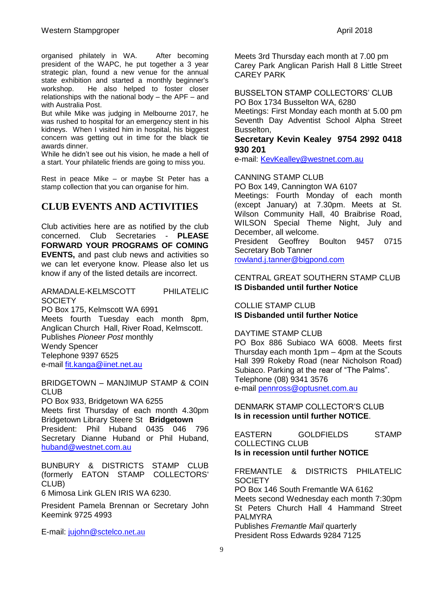But while Mike was judging in Melbourne 2017, he was rushed to hospital for an emergency stent in his kidneys. When I visited him in hospital, his biggest concern was getting out in time for the black tie awards dinner.

While he didn't see out his vision, he made a hell of a start. Your philatelic friends are going to miss you.

Rest in peace Mike – or maybe St Peter has a stamp collection that you can organise for him.

## **CLUB EVENTS AND ACTIVITIES**

Club activities here are as notified by the club concerned. Club Secretaries - **PLEASE FORWARD YOUR PROGRAMS OF COMING EVENTS,** and past club news and activities so we can let everyone know. Please also let us know if any of the listed details are incorrect.

ARMADALE-KELMSCOTT PHILATELIC **SOCIETY** 

PO Box 175, Kelmscott WA 6991 Meets fourth Tuesday each month 8pm, Anglican Church Hall, River Road, Kelmscott. Publishes *Pioneer Post* monthly Wendy Spencer Telephone 9397 6525 e-mail [fit.kanga@iinet.net.au](mailto:fit.kanga@iinet.net.au)

BRIDGETOWN – MANJIMUP STAMP & COIN **CLUB** 

PO Box 933, Bridgetown WA 6255

Meets first Thursday of each month 4.30pm Bridgetown Library Steere St **Bridgetown** President: Phil Huband 0435 046 796 Secretary Dianne Huband or Phil Huband, [huband@westnet.com.au](mailto:huband@westnet.com.au)

BUNBURY & DISTRICTS STAMP CLUB (formerly EATON STAMP COLLECTORS' CLUB)

6 Mimosa Link GLEN IRIS WA 6230.

President Pamela Brennan or Secretary John Keemink 9725 4993

E-mail: [jujohn@sctelco.](mailto:jujohn@sctelco.net.au)net.au

Meets 3rd Thursday each month at 7.00 pm Carey Park Anglican Parish Hall 8 Little Street CAREY PARK

BUSSELTON STAMP COLLECTORS' CLUB PO Box 1734 Busselton WA, 6280 Meetings: First Monday each month at 5.00 pm Seventh Day Adventist School Alpha Street Busselton,

#### **Secretary Kevin Kealey 9754 2992 0418 930 201**

e-mail: [KevKealley@westnet.com.au](mailto:KevKealley@westnet.com.au)

#### CANNING STAMP CLUB

PO Box 149, Cannington WA 6107 Meetings: Fourth Monday of each month (except January) at 7.30pm. Meets at St. Wilson Community Hall, 40 Braibrise Road, WILSON Special Theme Night, July and December, all welcome.<br>President Geoffrey Boulton President Geoffrey Boulton 9457 0715 Secretary Bob Tanner

[rowland.j.tanner@bigpond.com](mailto:rowland.j.tanner@bigpond.com)

#### CENTRAL GREAT SOUTHERN STAMP CLUB **IS Disbanded until further Notice**

COLLIE STAMP CLUB **IS Disbanded until further Notice**

#### DAYTIME STAMP CLUB

PO Box 886 Subiaco WA 6008. Meets first Thursday each month 1pm – 4pm at the Scouts Hall 399 Rokeby Road (near Nicholson Road) Subiaco. Parking at the rear of "The Palms". Telephone (08) 9341 3576 e-mail [pennross@optusnet.com.au](mailto:pennross@optusnet.com.au)

DENMARK STAMP COLLECTOR'S CLUB **Is in recession until further NOTICE**.

EASTERN GOLDFIELDS STAMP COLLECTING CLUB **Is in recession until further NOTICE**

FREMANTLE & DISTRICTS PHILATELIC **SOCIETY** PO Box 146 South Fremantle WA 6162 Meets second Wednesday each month 7:30pm St Peters Church Hall 4 Hammand Street PALMYRA Publishes *Fremantle Mail* quarterly President Ross Edwards 9284 7125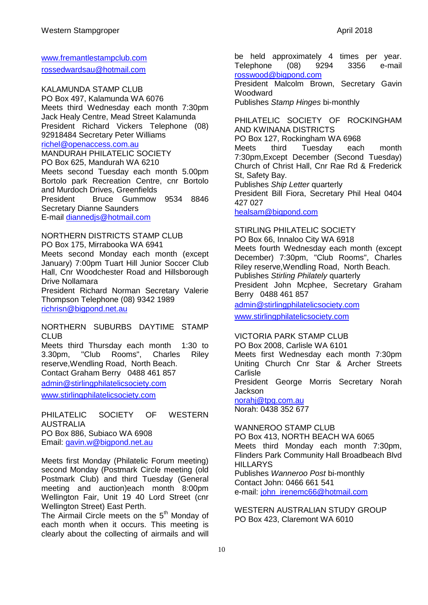[www.fremantlestampclub.com](http://www.fremantlestampclub.com/) [rossedwardsau@hotmail.com](mailto:rossedwardsau@hotmail.com)

KALAMUNDA STAMP CLUB PO Box 497, Kalamunda WA 6076 Meets third Wednesday each month 7:30pm Jack Healy Centre, Mead Street Kalamunda President Richard Vickers Telephone (08) 92918484 Secretary Peter Williams [richel@openaccess.com.au](mailto:richel@openaccess.com.au) MANDURAH PHILATELIC SOCIETY PO Box 625, Mandurah WA 6210 Meets second Tuesday each month 5.00pm Bortolo park Recreation Centre, cnr Bortolo and Murdoch Drives, Greenfields President Bruce Gummow 9534 8846 Secretary Dianne Saunders E-mail [diannedjs@hotmail.com](mailto:diannedjs@hotmail.com)

NORTHERN DISTRICTS STAMP CLUB

PO Box 175, Mirrabooka WA 6941 Meets second Monday each month (except January) 7:00pm Tuart Hill Junior Soccer Club Hall, Cnr Woodchester Road and Hillsborough Drive Nollamara

President Richard Norman Secretary Valerie Thompson Telephone (08) 9342 1989 [richrisn@bigpond.net.au](mailto:richrisn@bigpond.net.au)

NORTHERN SUBURBS DAYTIME STAMP CLUB.

Meets third Thursday each month 1:30 to 3.30pm, "Club Rooms", Charles Riley reserve,Wendling Road, North Beach. Contact Graham Berry 0488 461 857 [admin@stirlingphilatelicsociety.com](mailto:admin@stirlingphilatelicsociety.com)

[www.stirlingphilatelicsociety.com](http://www.stirlingphilatelicsociety.com/)

PHILATELIC SOCIETY OF WESTERN AUSTRALIA PO Box 886, Subiaco WA 6908 Email: [gavin.w@bigpond.net.au](mailto:gavin.w@bigpond.net.au)

Meets first Monday (Philatelic Forum meeting) second Monday (Postmark Circle meeting (old Postmark Club) and third Tuesday (General meeting and auction)each month 8:00pm Wellington Fair, Unit 19 40 Lord Street (cnr Wellington Street) East Perth.

The Airmail Circle meets on the 5<sup>th</sup> Mondav of each month when it occurs. This meeting is clearly about the collecting of airmails and will be held approximately 4 times per year. Telephone (08) 9294 3356 e-mail [rosswood@bigpond.com](mailto:rosswood@bigpond.com)

President Malcolm Brown, Secretary Gavin **Woodward** 

Publishes *Stamp Hinges* bi-monthly

#### PHILATELIC SOCIETY OF ROCKINGHAM AND KWINANA DISTRICTS

PO Box 127, Rockingham WA 6968

Meets third Tuesday each month 7:30pm,Except December (Second Tuesday) Church of Christ Hall, Cnr Rae Rd & Frederick St, Safety Bay.

Publishes *Ship Letter* quarterly

President Bill Fiora, Secretary Phil Heal 0404 427 027

[healsam@bigpond.com](mailto:healsam@bigpond.com)

#### STIRLING PHILATELIC SOCIETY

PO Box 66, Innaloo City WA 6918 Meets fourth Wednesday each month (except December) 7:30pm, "Club Rooms", Charles Riley reserve,Wendling Road, North Beach. Publishes *Stirling Philately* quarterly President John Mcphee, Secretary Graham Berry 0488 461 857

[admin@stirlingphilatelicsociety.com](mailto:admin@stirlingphilatelicsociety.com)

[www.stirlingphilatelicsociety.com](http://www.stirlingphilatelicsociety.com/)

### VICTORIA PARK STAMP CLUB

PO Box 2008, Carlisle WA 6101 Meets first Wednesday each month 7:30pm Uniting Church Cnr Star & Archer Streets **Carlisle** President George Morris Secretary Norah **Jackson** [norahj@tpg.com.au](mailto:norahj@tpg.com.au)

Norah: 0438 352 677

WANNEROO STAMP CLUB PO Box 413, NORTH BEACH WA 6065 Meets third Monday each month 7:30pm, Flinders Park Community Hall Broadbeach Blvd **HILLARYS** Publishes *Wanneroo Post* bi-monthly Contact John: 0466 661 541 e-mail: [john\\_irenemc66@hotmail.com](mailto:john_irenemc66@hotmail.com)

WESTERN AUSTRALIAN STUDY GROUP PO Box 423, Claremont WA 6010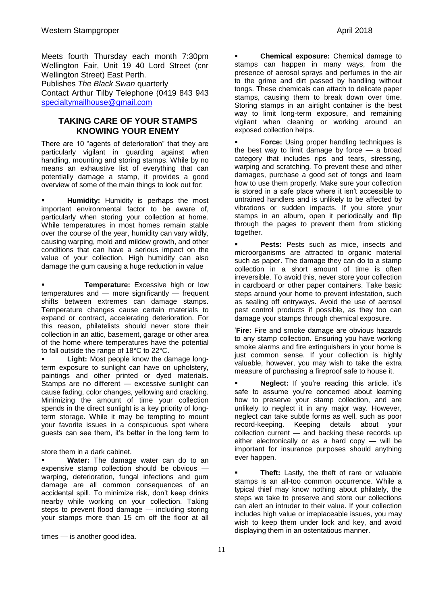Meets fourth Thursday each month 7:30pm Wellington Fair, Unit 19 40 Lord Street (cnr Wellington Street) East Perth.

Publishes *The Black Swan* quarterly

Contact Arthur Tilby Telephone (0419 843 943 [specialtymailhouse@gmail.com](mailto:specialtymailhouse@gmail.com)

#### **TAKING CARE OF YOUR STAMPS KNOWING YOUR ENEMY**

There are 10 "agents of deterioration" that they are particularly vigilant in guarding against when handling, mounting and storing stamps. While by no means an exhaustive list of everything that can potentially damage a stamp, it provides a good overview of some of the main things to look out for:

 **Humidity:** Humidity is perhaps the most important environmental factor to be aware of, particularly when storing your collection at home. While temperatures in most homes remain stable over the course of the year, humidity can vary wildly, causing warping, mold and mildew growth, and other conditions that can have a serious impact on the value of your collection. High humidity can also damage the gum causing a huge reduction in value

 **Temperature:** Excessive high or low temperatures and — more significantly — frequent shifts between extremes can damage stamps. Temperature changes cause certain materials to expand or contract, accelerating deterioration. For this reason, philatelists should never store their collection in an attic, basement, garage or other area of the home where temperatures have the potential to fall outside the range of 18°C to 22°C.

 **Light:** Most people know the damage longterm exposure to sunlight can have on upholstery, paintings and other printed or dyed materials. Stamps are no different - excessive sunlight can cause fading, color changes, yellowing and cracking. Minimizing the amount of time your collection spends in the direct sunlight is a key priority of longterm storage. While it may be tempting to mount your favorite issues in a conspicuous spot where guests can see them, it's better in the long term to

store them in a dark cabinet.

 **Water:** The damage water can do to an expensive stamp collection should be obvious warping, deterioration, fungal infections and gum damage are all common consequences of an accidental spill. To minimize risk, don't keep drinks nearby while working on your collection. Taking steps to prevent flood damage — including storing your stamps more than 15 cm off the floor at all

times — is another good idea.

 **Chemical exposure:** Chemical damage to stamps can happen in many ways, from the presence of aerosol sprays and perfumes in the air to the grime and dirt passed by handling without tongs. These chemicals can attach to delicate paper stamps, causing them to break down over time. Storing stamps in an airtight container is the best way to limit long-term exposure, and remaining vigilant when cleaning or working around an exposed collection helps.

 **Force:** Using proper handling techniques is the best way to limit damage by force — a broad category that includes rips and tears, stressing, warping and scratching. To prevent these and other damages, purchase a good set of tongs and learn how to use them properly. Make sure your collection is stored in a safe place where it isn't accessible to untrained handlers and is unlikely to be affected by vibrations or sudden impacts. If you store your stamps in an album, open it periodically and flip through the pages to prevent them from sticking together.

 **Pests:** Pests such as mice, insects and microorganisms are attracted to organic material such as paper. The damage they can do to a stamp collection in a short amount of time is often irreversible. To avoid this, never store your collection in cardboard or other paper containers. Take basic steps around your home to prevent infestation, such as sealing off entryways. Avoid the use of aerosol pest control products if possible, as they too can damage your stamps through chemical exposure.

‗**Fire:** Fire and smoke damage are obvious hazards to any stamp collection. Ensuring you have working smoke alarms and fire extinguishers in your home is just common sense. If your collection is highly valuable, however, you may wish to take the extra measure of purchasing a fireproof safe to house it.

 **Neglect:** If you're reading this article, it's safe to assume you're concerned about learning how to preserve your stamp collection, and are unlikely to neglect it in any major way. However, neglect can take subtle forms as well, such as poor record-keeping. Keeping details about your collection current — and backing these records up either electronically or as a hard copy — will be important for insurance purposes should anything ever happen.

**Theft:** Lastly, the theft of rare or valuable stamps is an all-too common occurrence. While a typical thief may know nothing about philately, the steps we take to preserve and store our collections can alert an intruder to their value. If your collection includes high value or irreplaceable issues, you may wish to keep them under lock and key, and avoid displaying them in an ostentatious manner.